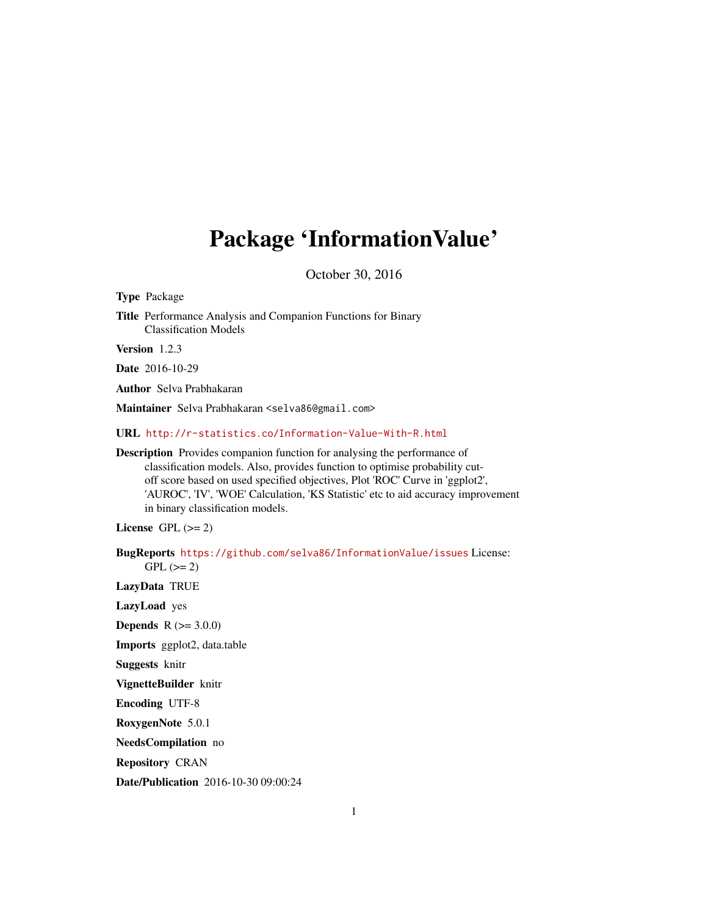# Package 'InformationValue'

October 30, 2016

Type Package

Title Performance Analysis and Companion Functions for Binary Classification Models

Version 1.2.3

Date 2016-10-29

Author Selva Prabhakaran

Maintainer Selva Prabhakaran <selva86@gmail.com>

URL <http://r-statistics.co/Information-Value-With-R.html>

Description Provides companion function for analysing the performance of classification models. Also, provides function to optimise probability cutoff score based on used specified objectives, Plot 'ROC' Curve in 'ggplot2', 'AUROC', 'IV', 'WOE' Calculation, 'KS Statistic' etc to aid accuracy improvement in binary classification models.

License GPL  $(>= 2)$ 

BugReports <https://github.com/selva86/InformationValue/issues> License:  $GPL (= 2)$ 

LazyData TRUE

LazyLoad yes

**Depends** R  $(>= 3.0.0)$ 

Imports ggplot2, data.table

Suggests knitr

VignetteBuilder knitr

Encoding UTF-8

RoxygenNote 5.0.1

NeedsCompilation no

Repository CRAN

Date/Publication 2016-10-30 09:00:24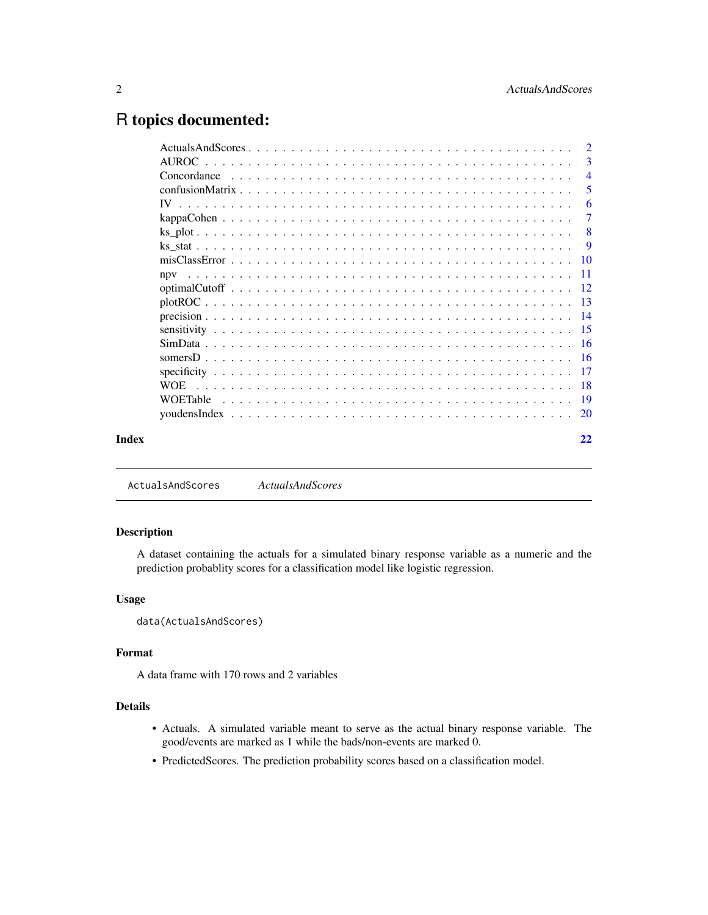# <span id="page-1-0"></span>R topics documented:

|            |  |  |  |  |  |  |  |  |  |  |  |  |  |  | $\overline{2}$            |
|------------|--|--|--|--|--|--|--|--|--|--|--|--|--|--|---------------------------|
|            |  |  |  |  |  |  |  |  |  |  |  |  |  |  | 3                         |
|            |  |  |  |  |  |  |  |  |  |  |  |  |  |  | $\overline{4}$            |
|            |  |  |  |  |  |  |  |  |  |  |  |  |  |  | 5                         |
|            |  |  |  |  |  |  |  |  |  |  |  |  |  |  | -6                        |
|            |  |  |  |  |  |  |  |  |  |  |  |  |  |  | $\overline{7}$            |
|            |  |  |  |  |  |  |  |  |  |  |  |  |  |  | $\overline{\phantom{0}}8$ |
|            |  |  |  |  |  |  |  |  |  |  |  |  |  |  | -9                        |
|            |  |  |  |  |  |  |  |  |  |  |  |  |  |  |                           |
| npy        |  |  |  |  |  |  |  |  |  |  |  |  |  |  |                           |
|            |  |  |  |  |  |  |  |  |  |  |  |  |  |  |                           |
|            |  |  |  |  |  |  |  |  |  |  |  |  |  |  |                           |
|            |  |  |  |  |  |  |  |  |  |  |  |  |  |  |                           |
|            |  |  |  |  |  |  |  |  |  |  |  |  |  |  |                           |
|            |  |  |  |  |  |  |  |  |  |  |  |  |  |  |                           |
|            |  |  |  |  |  |  |  |  |  |  |  |  |  |  |                           |
|            |  |  |  |  |  |  |  |  |  |  |  |  |  |  |                           |
| <b>WOE</b> |  |  |  |  |  |  |  |  |  |  |  |  |  |  |                           |
|            |  |  |  |  |  |  |  |  |  |  |  |  |  |  |                           |
|            |  |  |  |  |  |  |  |  |  |  |  |  |  |  |                           |
|            |  |  |  |  |  |  |  |  |  |  |  |  |  |  | 22                        |

ActualsAndScores *ActualsAndScores*

#### Description

A dataset containing the actuals for a simulated binary response variable as a numeric and the prediction probablity scores for a classification model like logistic regression.

# Usage

```
data(ActualsAndScores)
```
#### Format

A data frame with 170 rows and 2 variables

# Details

- Actuals. A simulated variable meant to serve as the actual binary response variable. The good/events are marked as 1 while the bads/non-events are marked 0.
- PredictedScores. The prediction probability scores based on a classification model.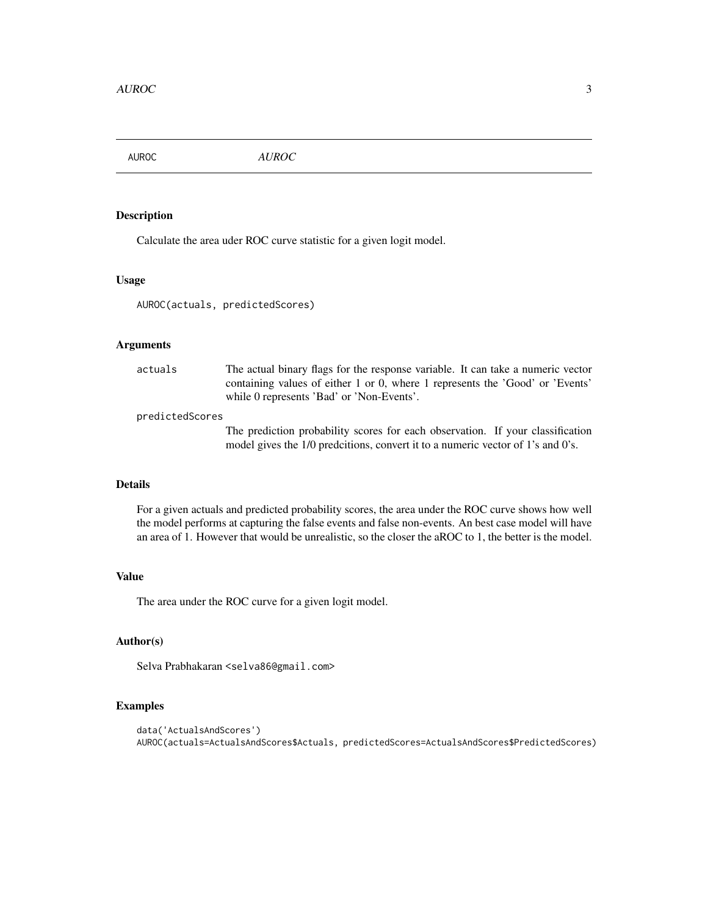<span id="page-2-0"></span>AUROC *AUROC*

# Description

Calculate the area uder ROC curve statistic for a given logit model.

# Usage

AUROC(actuals, predictedScores)

## Arguments

| actuals | The actual binary flags for the response variable. It can take a numeric vector |
|---------|---------------------------------------------------------------------------------|
|         | containing values of either 1 or 0, where 1 represents the 'Good' or 'Events'   |
|         | while 0 represents 'Bad' or 'Non-Events'.                                       |
|         |                                                                                 |

#### predictedScores

The prediction probability scores for each observation. If your classification model gives the 1/0 predcitions, convert it to a numeric vector of 1's and 0's.

# Details

For a given actuals and predicted probability scores, the area under the ROC curve shows how well the model performs at capturing the false events and false non-events. An best case model will have an area of 1. However that would be unrealistic, so the closer the aROC to 1, the better is the model.

#### Value

The area under the ROC curve for a given logit model.

# Author(s)

Selva Prabhakaran <selva86@gmail.com>

```
data('ActualsAndScores')
AUROC(actuals=ActualsAndScores$Actuals, predictedScores=ActualsAndScores$PredictedScores)
```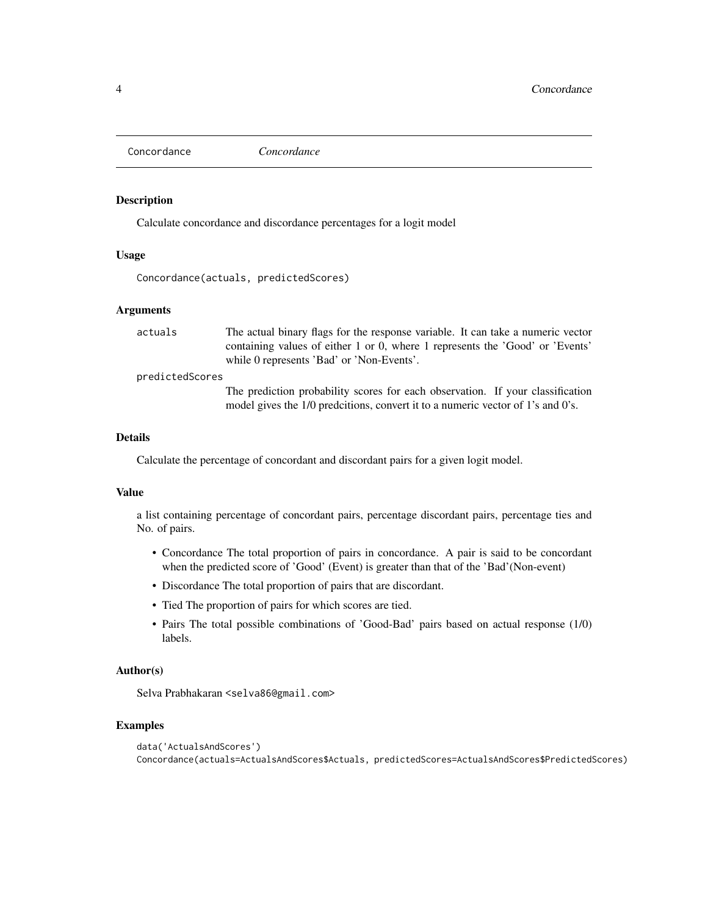<span id="page-3-0"></span>Concordance *Concordance*

# Description

Calculate concordance and discordance percentages for a logit model

#### Usage

Concordance(actuals, predictedScores)

#### Arguments

actuals The actual binary flags for the response variable. It can take a numeric vector containing values of either 1 or 0, where 1 represents the 'Good' or 'Events' while 0 represents 'Bad' or 'Non-Events'.

#### predictedScores

The prediction probability scores for each observation. If your classification model gives the 1/0 predcitions, convert it to a numeric vector of 1's and 0's.

# Details

Calculate the percentage of concordant and discordant pairs for a given logit model.

# Value

a list containing percentage of concordant pairs, percentage discordant pairs, percentage ties and No. of pairs.

- Concordance The total proportion of pairs in concordance. A pair is said to be concordant when the predicted score of 'Good' (Event) is greater than that of the 'Bad'(Non-event)
- Discordance The total proportion of pairs that are discordant.
- Tied The proportion of pairs for which scores are tied.
- Pairs The total possible combinations of 'Good-Bad' pairs based on actual response (1/0) labels.

#### Author(s)

Selva Prabhakaran <selva86@gmail.com>

```
data('ActualsAndScores')
Concordance(actuals=ActualsAndScores$Actuals, predictedScores=ActualsAndScores$PredictedScores)
```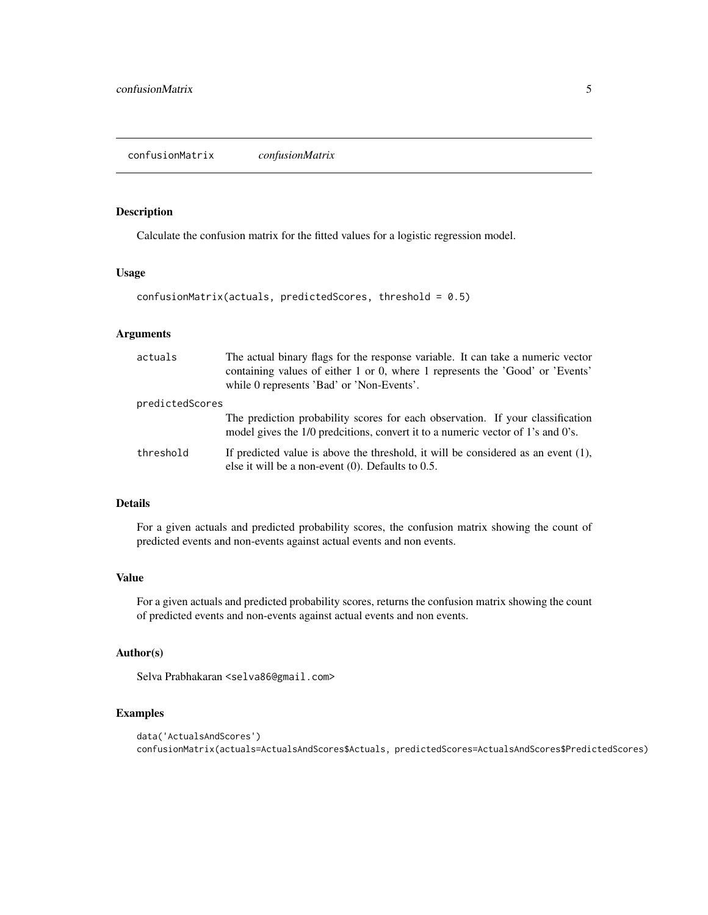# <span id="page-4-0"></span>Description

Calculate the confusion matrix for the fitted values for a logistic regression model.

# Usage

```
confusionMatrix(actuals, predictedScores, threshold = 0.5)
```
# Arguments

| actuals         | The actual binary flags for the response variable. It can take a numeric vector<br>containing values of either 1 or 0, where 1 represents the 'Good' or 'Events'<br>while 0 represents 'Bad' or 'Non-Events'. |
|-----------------|---------------------------------------------------------------------------------------------------------------------------------------------------------------------------------------------------------------|
| predictedScores |                                                                                                                                                                                                               |
|                 | The prediction probability scores for each observation. If your classification<br>model gives the 1/0 predcitions, convert it to a numeric vector of 1's and 0's.                                             |
| threshold       | If predicted value is above the threshold, it will be considered as an event $(1)$ ,<br>else it will be a non-event $(0)$ . Defaults to 0.5.                                                                  |

# Details

For a given actuals and predicted probability scores, the confusion matrix showing the count of predicted events and non-events against actual events and non events.

#### Value

For a given actuals and predicted probability scores, returns the confusion matrix showing the count of predicted events and non-events against actual events and non events.

#### Author(s)

Selva Prabhakaran <selva86@gmail.com>

```
data('ActualsAndScores')
confusionMatrix(actuals=ActualsAndScores$Actuals, predictedScores=ActualsAndScores$PredictedScores)
```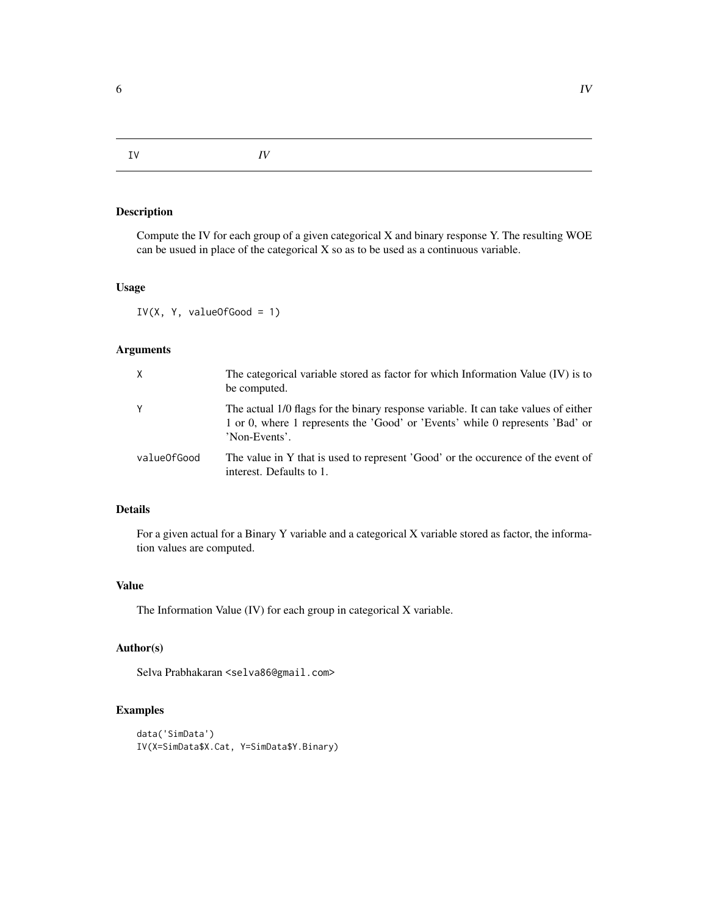<span id="page-5-0"></span>IV *IV*

# Description

Compute the IV for each group of a given categorical X and binary response Y. The resulting WOE can be usued in place of the categorical X so as to be used as a continuous variable.

# Usage

IV(X, Y, valueOfGood = 1)

# Arguments

| $\chi$      | The categorical variable stored as factor for which Information Value (IV) is to<br>be computed.                                                                                      |
|-------------|---------------------------------------------------------------------------------------------------------------------------------------------------------------------------------------|
| Y           | The actual 1/0 flags for the binary response variable. It can take values of either<br>1 or 0, where 1 represents the 'Good' or 'Events' while 0 represents 'Bad' or<br>'Non-Events'. |
| valueOfGood | The value in Y that is used to represent 'Good' or the occurence of the event of<br>interest. Defaults to 1.                                                                          |

# Details

For a given actual for a Binary Y variable and a categorical X variable stored as factor, the information values are computed.

# Value

The Information Value (IV) for each group in categorical X variable.

# Author(s)

Selva Prabhakaran <selva86@gmail.com>

```
data('SimData')
IV(X=SimData$X.Cat, Y=SimData$Y.Binary)
```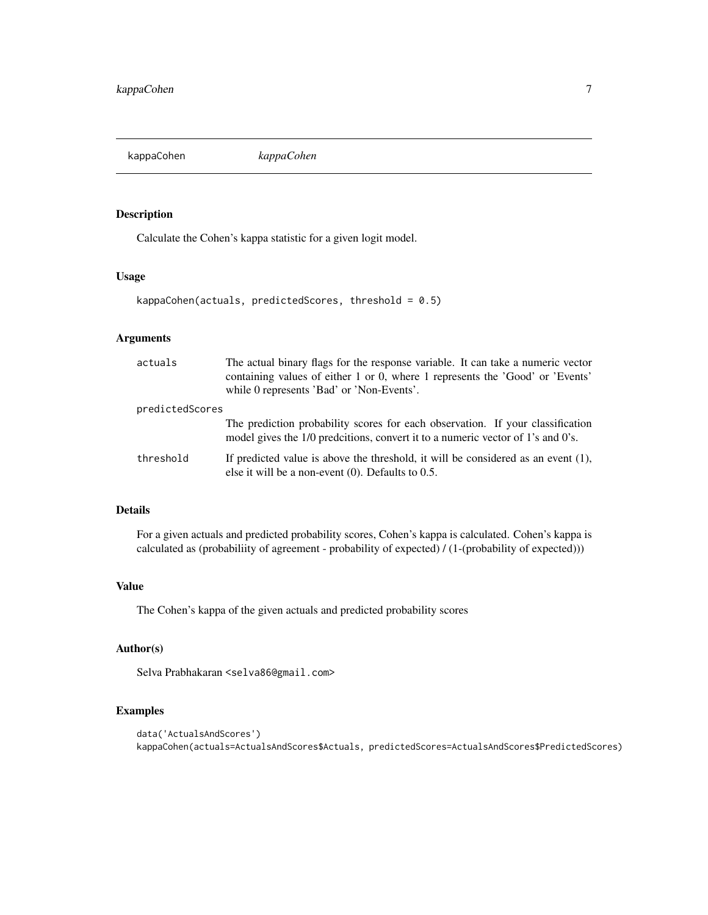<span id="page-6-0"></span>kappaCohen *kappaCohen*

# Description

Calculate the Cohen's kappa statistic for a given logit model.

# Usage

kappaCohen(actuals, predictedScores, threshold = 0.5)

# Arguments

| actuals         | The actual binary flags for the response variable. It can take a numeric vector<br>containing values of either 1 or 0, where 1 represents the 'Good' or 'Events'<br>while 0 represents 'Bad' or 'Non-Events'. |
|-----------------|---------------------------------------------------------------------------------------------------------------------------------------------------------------------------------------------------------------|
| predictedScores |                                                                                                                                                                                                               |
|                 | The prediction probability scores for each observation. If your classification<br>model gives the 1/0 predcitions, convert it to a numeric vector of 1's and 0's.                                             |
| threshold       | If predicted value is above the threshold, it will be considered as an event $(1)$ ,<br>else it will be a non-event $(0)$ . Defaults to 0.5.                                                                  |

# Details

For a given actuals and predicted probability scores, Cohen's kappa is calculated. Cohen's kappa is calculated as (probabiliity of agreement - probability of expected) / (1-(probability of expected)))

# Value

The Cohen's kappa of the given actuals and predicted probability scores

# Author(s)

Selva Prabhakaran <selva86@gmail.com>

```
data('ActualsAndScores')
kappaCohen(actuals=ActualsAndScores$Actuals, predictedScores=ActualsAndScores$PredictedScores)
```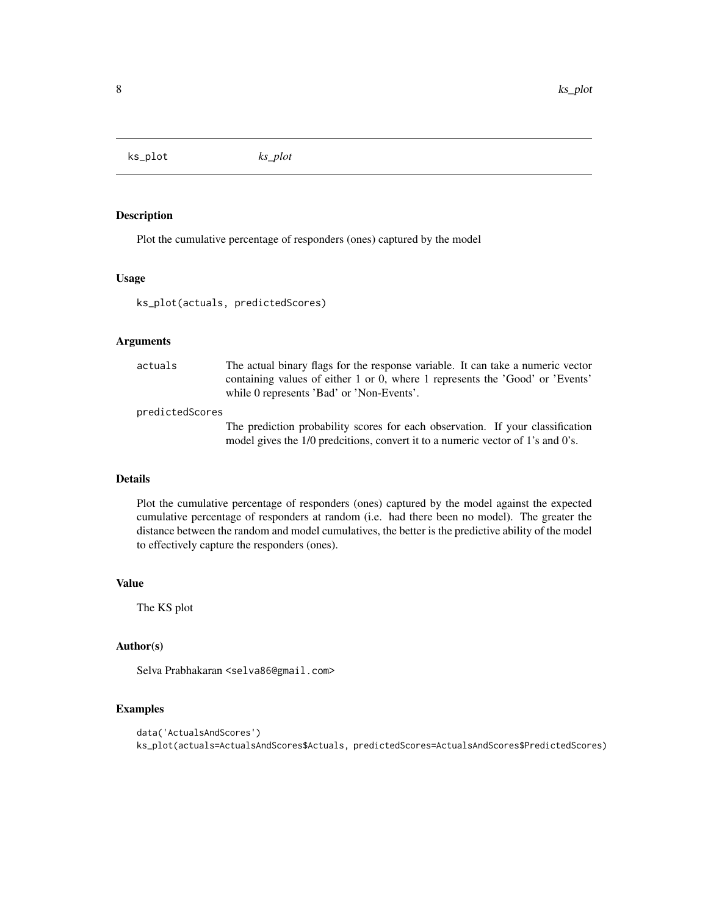<span id="page-7-0"></span>ks\_plot *ks\_plot*

# Description

Plot the cumulative percentage of responders (ones) captured by the model

#### Usage

ks\_plot(actuals, predictedScores)

#### Arguments

| actuals | The actual binary flags for the response variable. It can take a numeric vector |
|---------|---------------------------------------------------------------------------------|
|         | containing values of either 1 or 0, where 1 represents the 'Good' or 'Events'   |
|         | while 0 represents 'Bad' or 'Non-Events'.                                       |
|         |                                                                                 |

#### predictedScores

The prediction probability scores for each observation. If your classification model gives the 1/0 predcitions, convert it to a numeric vector of 1's and 0's.

#### Details

Plot the cumulative percentage of responders (ones) captured by the model against the expected cumulative percentage of responders at random (i.e. had there been no model). The greater the distance between the random and model cumulatives, the better is the predictive ability of the model to effectively capture the responders (ones).

# Value

The KS plot

#### Author(s)

Selva Prabhakaran <selva86@gmail.com>

```
data('ActualsAndScores')
ks_plot(actuals=ActualsAndScores$Actuals, predictedScores=ActualsAndScores$PredictedScores)
```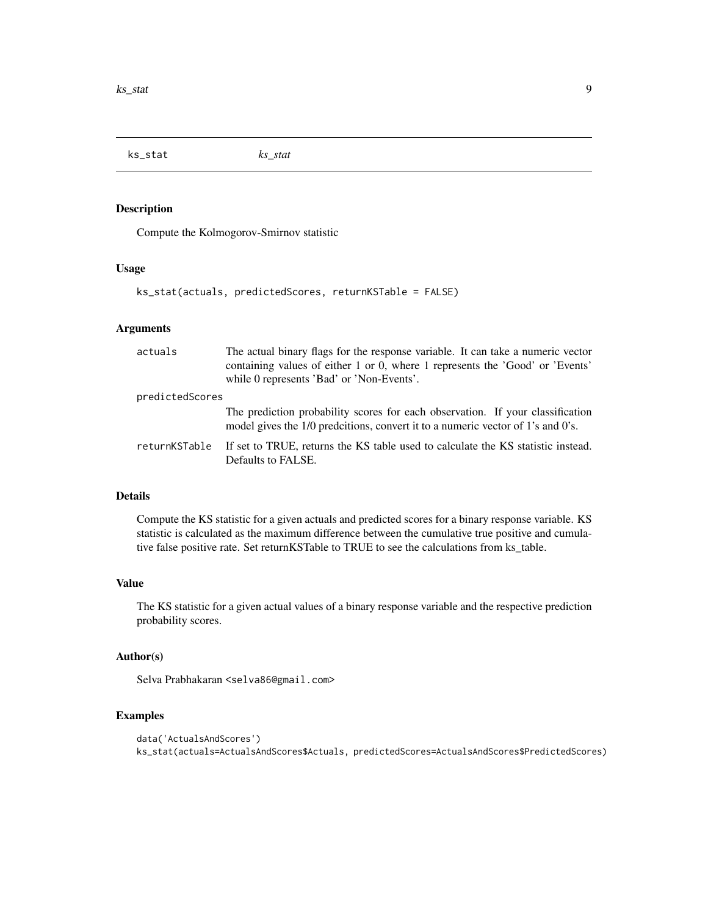<span id="page-8-0"></span>ks\_stat *ks\_stat*

# Description

Compute the Kolmogorov-Smirnov statistic

#### Usage

```
ks_stat(actuals, predictedScores, returnKSTable = FALSE)
```
# Arguments

| actuals         | The actual binary flags for the response variable. It can take a numeric vector<br>containing values of either 1 or 0, where 1 represents the 'Good' or 'Events'<br>while 0 represents 'Bad' or 'Non-Events'. |
|-----------------|---------------------------------------------------------------------------------------------------------------------------------------------------------------------------------------------------------------|
| predictedScores |                                                                                                                                                                                                               |
|                 | The prediction probability scores for each observation. If your classification<br>model gives the 1/0 predcitions, convert it to a numeric vector of 1's and 0's.                                             |
| returnKSTable   | If set to TRUE, returns the KS table used to calculate the KS statistic instead.<br>Defaults to FALSE.                                                                                                        |

# Details

Compute the KS statistic for a given actuals and predicted scores for a binary response variable. KS statistic is calculated as the maximum difference between the cumulative true positive and cumulative false positive rate. Set returnKSTable to TRUE to see the calculations from ks\_table.

#### Value

The KS statistic for a given actual values of a binary response variable and the respective prediction probability scores.

# Author(s)

Selva Prabhakaran <selva86@gmail.com>

```
data('ActualsAndScores')
ks_stat(actuals=ActualsAndScores$Actuals, predictedScores=ActualsAndScores$PredictedScores)
```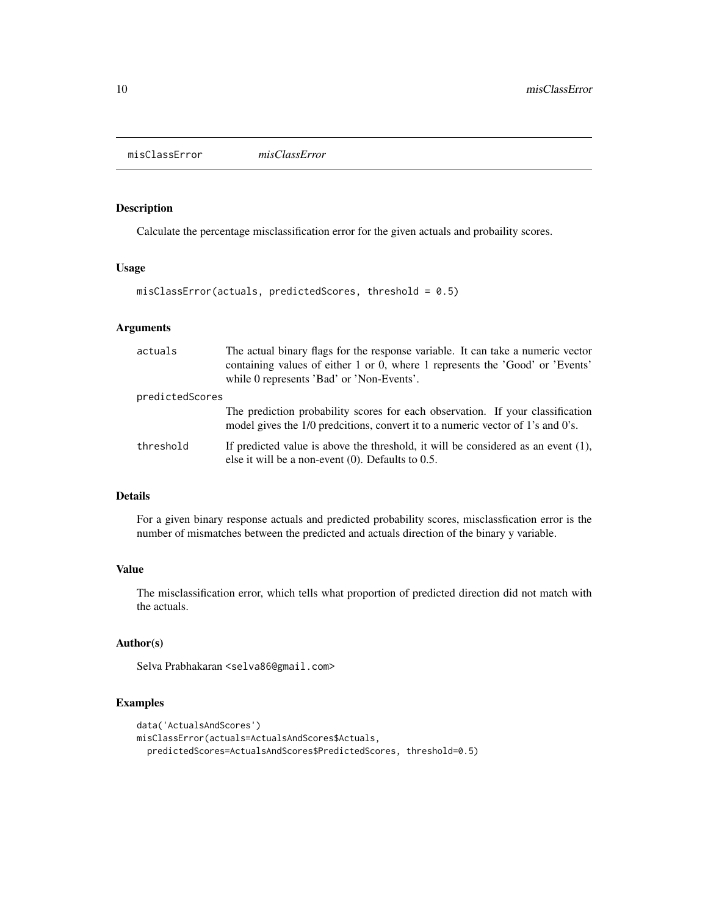<span id="page-9-0"></span>misClassError *misClassError*

# Description

Calculate the percentage misclassification error for the given actuals and probaility scores.

#### Usage

```
misClassError(actuals, predictedScores, threshold = 0.5)
```
# Arguments

| actuals         | The actual binary flags for the response variable. It can take a numeric vector<br>containing values of either 1 or 0, where 1 represents the 'Good' or 'Events'<br>while 0 represents 'Bad' or 'Non-Events'. |
|-----------------|---------------------------------------------------------------------------------------------------------------------------------------------------------------------------------------------------------------|
| predictedScores |                                                                                                                                                                                                               |
|                 | The prediction probability scores for each observation. If your classification<br>model gives the 1/0 predcitions, convert it to a numeric vector of 1's and 0's.                                             |
| threshold       | If predicted value is above the threshold, it will be considered as an event $(1)$ ,<br>else it will be a non-event $(0)$ . Defaults to 0.5.                                                                  |

# Details

For a given binary response actuals and predicted probability scores, misclassfication error is the number of mismatches between the predicted and actuals direction of the binary y variable.

# Value

The misclassification error, which tells what proportion of predicted direction did not match with the actuals.

# Author(s)

Selva Prabhakaran <selva86@gmail.com>

```
data('ActualsAndScores')
misClassError(actuals=ActualsAndScores$Actuals,
 predictedScores=ActualsAndScores$PredictedScores, threshold=0.5)
```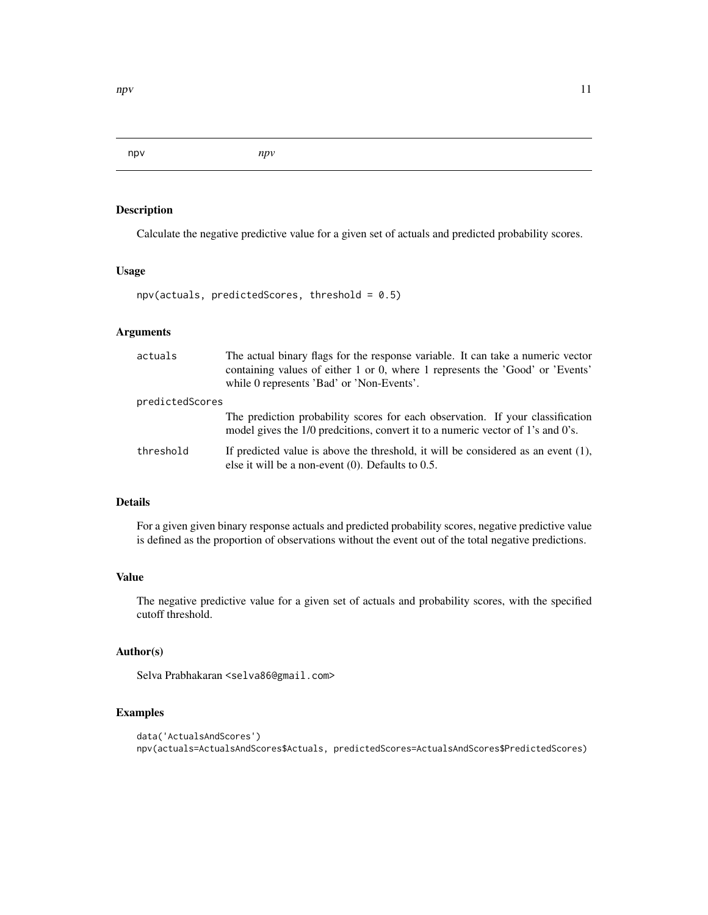<span id="page-10-0"></span>npv *npv*

# Description

Calculate the negative predictive value for a given set of actuals and predicted probability scores.

#### Usage

 $npv(actuals, predictedScores, threshold = 0.5)$ 

# Arguments

| actuals         | The actual binary flags for the response variable. It can take a numeric vector<br>containing values of either 1 or 0, where 1 represents the 'Good' or 'Events'<br>while 0 represents 'Bad' or 'Non-Events'. |
|-----------------|---------------------------------------------------------------------------------------------------------------------------------------------------------------------------------------------------------------|
| predictedScores |                                                                                                                                                                                                               |
|                 | The prediction probability scores for each observation. If your classification<br>model gives the 1/0 predcitions, convert it to a numeric vector of 1's and 0's.                                             |
| threshold       | If predicted value is above the threshold, it will be considered as an event $(1)$ ,<br>else it will be a non-event $(0)$ . Defaults to 0.5.                                                                  |

# Details

For a given given binary response actuals and predicted probability scores, negative predictive value is defined as the proportion of observations without the event out of the total negative predictions.

#### Value

The negative predictive value for a given set of actuals and probability scores, with the specified cutoff threshold.

# Author(s)

Selva Prabhakaran <selva86@gmail.com>

```
data('ActualsAndScores')
npv(actuals=ActualsAndScores$Actuals, predictedScores=ActualsAndScores$PredictedScores)
```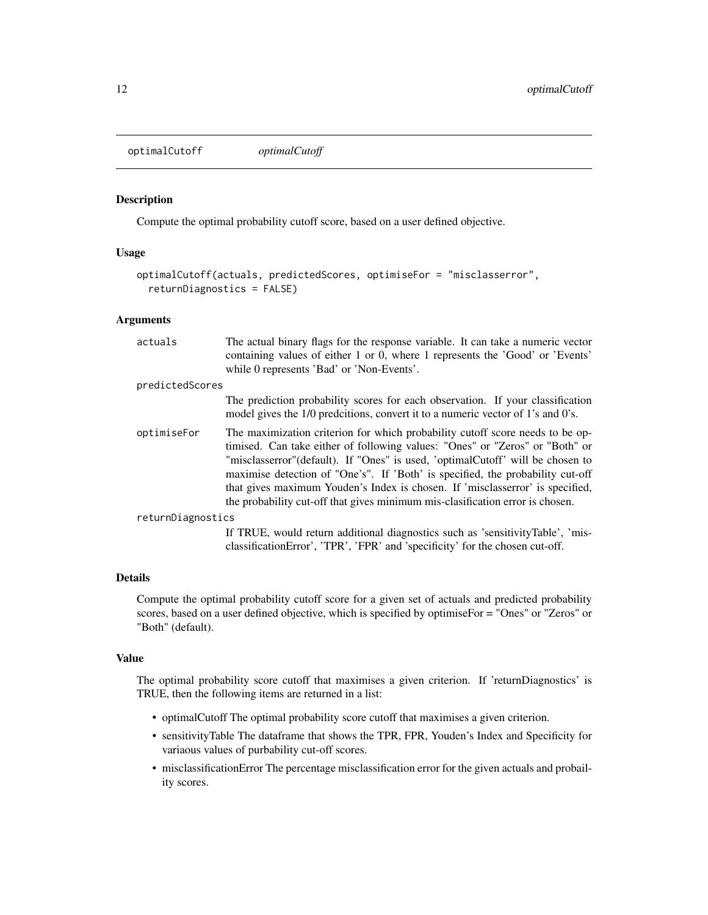<span id="page-11-0"></span>optimalCutoff *optimalCutoff*

#### Description

Compute the optimal probability cutoff score, based on a user defined objective.

# Usage

```
optimalCutoff(actuals, predictedScores, optimiseFor = "misclasserror",
  returnDiagnostics = FALSE)
```
#### Arguments

| actuals           | The actual binary flags for the response variable. It can take a numeric vector<br>containing values of either 1 or 0, where 1 represents the 'Good' or 'Events'<br>while 0 represents 'Bad' or 'Non-Events'.                                                                                                                                                                                                                                                                                        |
|-------------------|------------------------------------------------------------------------------------------------------------------------------------------------------------------------------------------------------------------------------------------------------------------------------------------------------------------------------------------------------------------------------------------------------------------------------------------------------------------------------------------------------|
| predictedScores   |                                                                                                                                                                                                                                                                                                                                                                                                                                                                                                      |
|                   | The prediction probability scores for each observation. If your classification<br>model gives the 1/0 predcitions, convert it to a numeric vector of 1's and 0's.                                                                                                                                                                                                                                                                                                                                    |
| optimiseFor       | The maximization criterion for which probability cutoff score needs to be op-<br>timised. Can take either of following values: "Ones" or "Zeros" or "Both" or<br>"misclasserror" (default). If "Ones" is used, 'optimalCutoff' will be chosen to<br>maximise detection of "One's". If 'Both' is specified, the probability cut-off<br>that gives maximum Youden's Index is chosen. If 'misclasserror' is specified,<br>the probability cut-off that gives minimum mis-clasification error is chosen. |
| returnDiagnostics |                                                                                                                                                                                                                                                                                                                                                                                                                                                                                                      |
|                   | If TRUE, would return additional diagnostics such as 'sensitivityTable', 'mis-<br>classificationError', 'TPR', 'FPR' and 'specificity' for the chosen cut-off.                                                                                                                                                                                                                                                                                                                                       |

# Details

Compute the optimal probability cutoff score for a given set of actuals and predicted probability scores, based on a user defined objective, which is specified by optimiseFor = "Ones" or "Zeros" or "Both" (default).

#### Value

The optimal probability score cutoff that maximises a given criterion. If 'returnDiagnostics' is TRUE, then the following items are returned in a list:

- optimalCutoff The optimal probability score cutoff that maximises a given criterion.
- sensitivityTable The dataframe that shows the TPR, FPR, Youden's Index and Specificity for variaous values of purbability cut-off scores.
- misclassificationError The percentage misclassification error for the given actuals and probaility scores.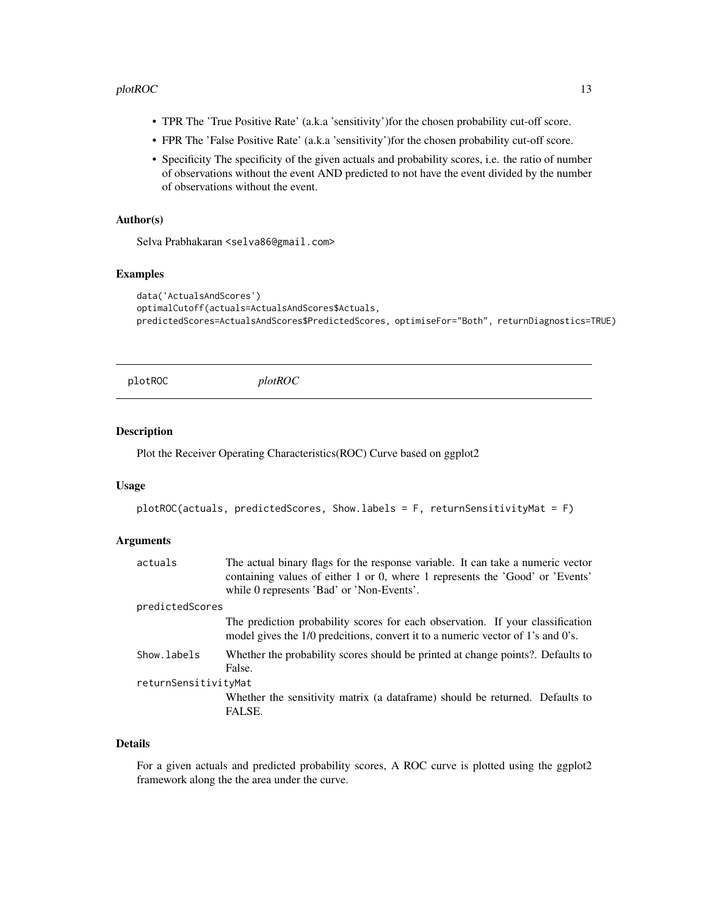#### <span id="page-12-0"></span> $p$ lotROC  $\qquad \qquad$  13

- TPR The 'True Positive Rate' (a.k.a 'sensitivity')for the chosen probability cut-off score.
- FPR The 'False Positive Rate' (a.k.a 'sensitivity')for the chosen probability cut-off score.
- Specificity The specificity of the given actuals and probability scores, i.e. the ratio of number of observations without the event AND predicted to not have the event divided by the number of observations without the event.

# Author(s)

Selva Prabhakaran <selva86@gmail.com>

# Examples

```
data('ActualsAndScores')
optimalCutoff(actuals=ActualsAndScores$Actuals,
predictedScores=ActualsAndScores$PredictedScores, optimiseFor="Both", returnDiagnostics=TRUE)
```
plotROC *plotROC*

# Description

Plot the Receiver Operating Characteristics(ROC) Curve based on ggplot2

#### Usage

```
plotROC(actuals, predictedScores, Show. labels = F, returnSensitivityMat = F)
```
# Arguments

| actuals              | The actual binary flags for the response variable. It can take a numeric vector<br>containing values of either 1 or 0, where 1 represents the 'Good' or 'Events'<br>while 0 represents 'Bad' or 'Non-Events'. |
|----------------------|---------------------------------------------------------------------------------------------------------------------------------------------------------------------------------------------------------------|
| predictedScores      |                                                                                                                                                                                                               |
|                      | The prediction probability scores for each observation. If your classification<br>model gives the 1/0 predcitions, convert it to a numeric vector of 1's and 0's.                                             |
| Show.labels          | Whether the probability scores should be printed at change points?. Defaults to<br>False.                                                                                                                     |
| returnSensitivityMat |                                                                                                                                                                                                               |
|                      | Whether the sensitivity matrix (a dataframe) should be returned. Defaults to<br>FALSE.                                                                                                                        |

# Details

For a given actuals and predicted probability scores, A ROC curve is plotted using the ggplot2 framework along the the area under the curve.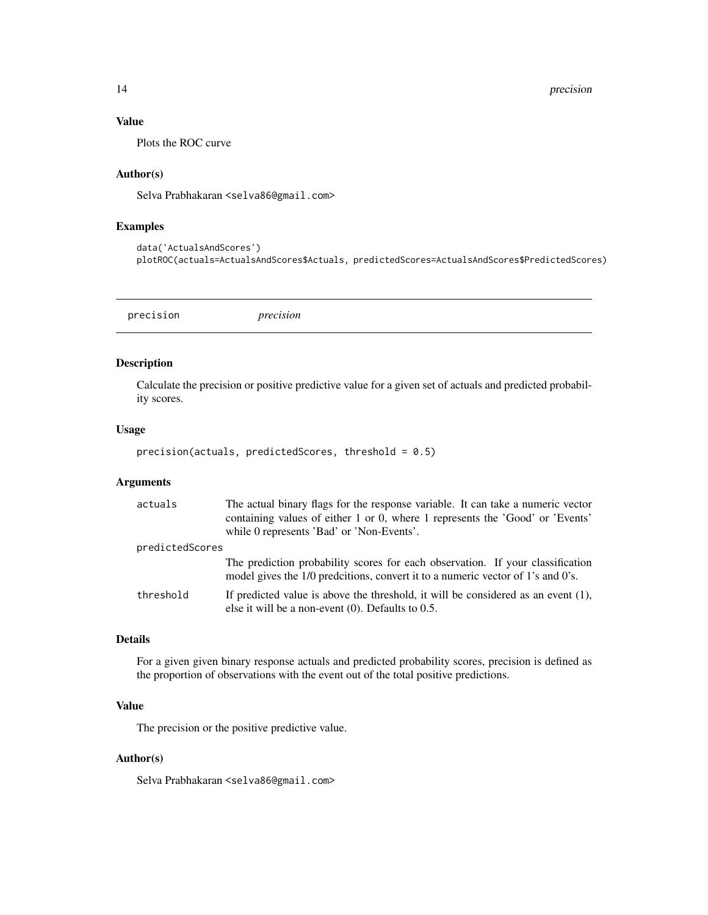# Value

Plots the ROC curve

#### Author(s)

Selva Prabhakaran <selva86@gmail.com>

# Examples

data('ActualsAndScores') plotROC(actuals=ActualsAndScores\$Actuals, predictedScores=ActualsAndScores\$PredictedScores)

precision *precision*

# Description

Calculate the precision or positive predictive value for a given set of actuals and predicted probability scores.

#### Usage

precision(actuals, predictedScores, threshold =  $0.5$ )

# Arguments

| actuals         | The actual binary flags for the response variable. It can take a numeric vector<br>containing values of either 1 or 0, where 1 represents the 'Good' or 'Events'<br>while 0 represents 'Bad' or 'Non-Events'. |
|-----------------|---------------------------------------------------------------------------------------------------------------------------------------------------------------------------------------------------------------|
| predictedScores |                                                                                                                                                                                                               |
|                 | The prediction probability scores for each observation. If your classification<br>model gives the 1/0 predcitions, convert it to a numeric vector of 1's and 0's.                                             |
| threshold       | If predicted value is above the threshold, it will be considered as an event $(1)$ ,<br>else it will be a non-event $(0)$ . Defaults to 0.5.                                                                  |

# Details

For a given given binary response actuals and predicted probability scores, precision is defined as the proportion of observations with the event out of the total positive predictions.

# Value

The precision or the positive predictive value.

#### Author(s)

Selva Prabhakaran <selva86@gmail.com>

<span id="page-13-0"></span>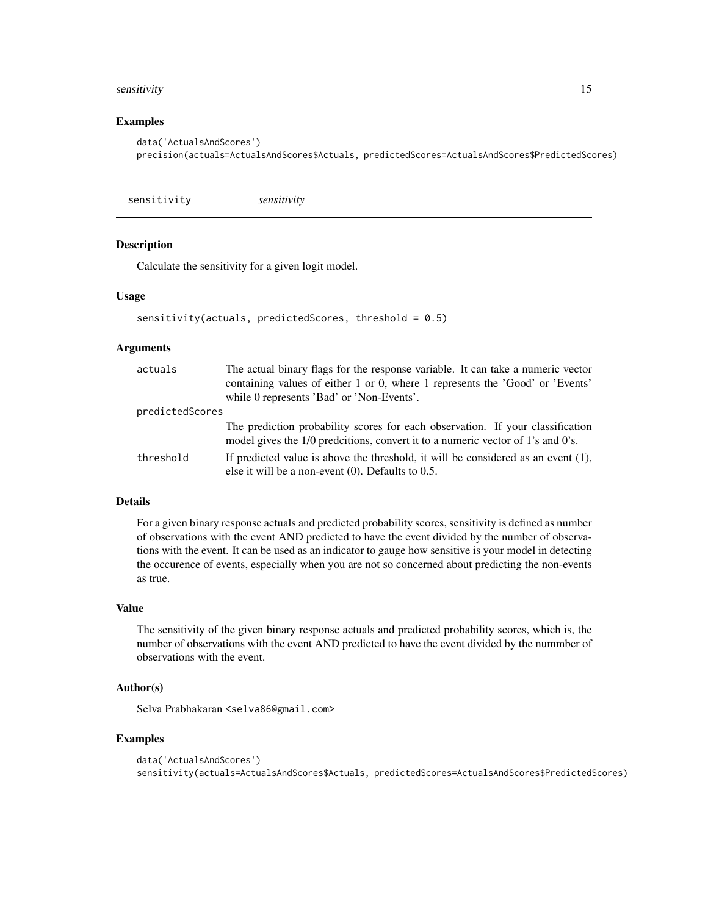#### <span id="page-14-0"></span>sensitivity that is a sensitivity of the sensitivity of the sensitivity of the sensitivity of the sensitivity of the sensitivity of the sensitivity of the sensitivity of the sensitivity of the sensitivity of the sensitivit

#### Examples

```
data('ActualsAndScores')
precision(actuals=ActualsAndScores$Actuals, predictedScores=ActualsAndScores$PredictedScores)
```
sensitivity *sensitivity*

#### Description

Calculate the sensitivity for a given logit model.

# Usage

```
sensitivity(actuals, predictedScores, threshold = 0.5)
```
#### Arguments

| actuals         | The actual binary flags for the response variable. It can take a numeric vector<br>containing values of either 1 or 0, where 1 represents the 'Good' or 'Events'<br>while 0 represents 'Bad' or 'Non-Events'. |
|-----------------|---------------------------------------------------------------------------------------------------------------------------------------------------------------------------------------------------------------|
| predictedScores |                                                                                                                                                                                                               |
|                 | The prediction probability scores for each observation. If your classification<br>model gives the 1/0 predcitions, convert it to a numeric vector of 1's and 0's.                                             |
| threshold       | If predicted value is above the threshold, it will be considered as an event $(1)$ ,<br>else it will be a non-event $(0)$ . Defaults to 0.5.                                                                  |

# Details

For a given binary response actuals and predicted probability scores, sensitivity is defined as number of observations with the event AND predicted to have the event divided by the number of observations with the event. It can be used as an indicator to gauge how sensitive is your model in detecting the occurence of events, especially when you are not so concerned about predicting the non-events as true.

# Value

The sensitivity of the given binary response actuals and predicted probability scores, which is, the number of observations with the event AND predicted to have the event divided by the nummber of observations with the event.

# Author(s)

Selva Prabhakaran <selva86@gmail.com>

```
data('ActualsAndScores')
sensitivity(actuals=ActualsAndScores$Actuals, predictedScores=ActualsAndScores$PredictedScores)
```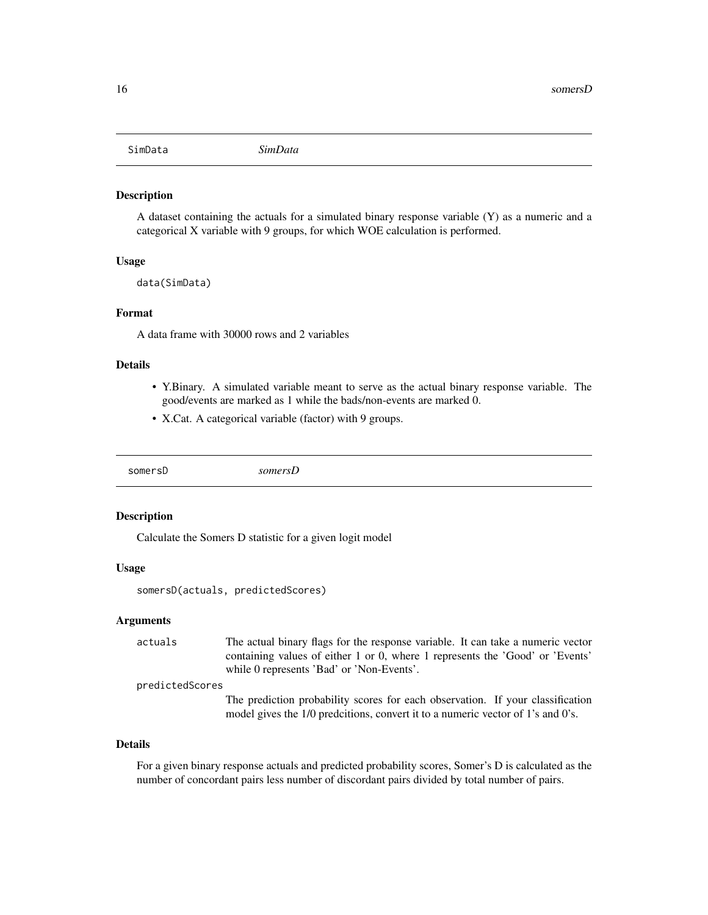<span id="page-15-0"></span>

#### Description

A dataset containing the actuals for a simulated binary response variable (Y) as a numeric and a categorical X variable with 9 groups, for which WOE calculation is performed.

#### Usage

data(SimData)

#### Format

A data frame with 30000 rows and 2 variables

#### Details

- Y.Binary. A simulated variable meant to serve as the actual binary response variable. The good/events are marked as 1 while the bads/non-events are marked 0.
- X.Cat. A categorical variable (factor) with 9 groups.

somersD *somersD*

# Description

Calculate the Somers D statistic for a given logit model

#### Usage

somersD(actuals, predictedScores)

#### Arguments

actuals The actual binary flags for the response variable. It can take a numeric vector containing values of either 1 or 0, where 1 represents the 'Good' or 'Events' while 0 represents 'Bad' or 'Non-Events'.

predictedScores

The prediction probability scores for each observation. If your classification model gives the 1/0 predcitions, convert it to a numeric vector of 1's and 0's.

# Details

For a given binary response actuals and predicted probability scores, Somer's D is calculated as the number of concordant pairs less number of discordant pairs divided by total number of pairs.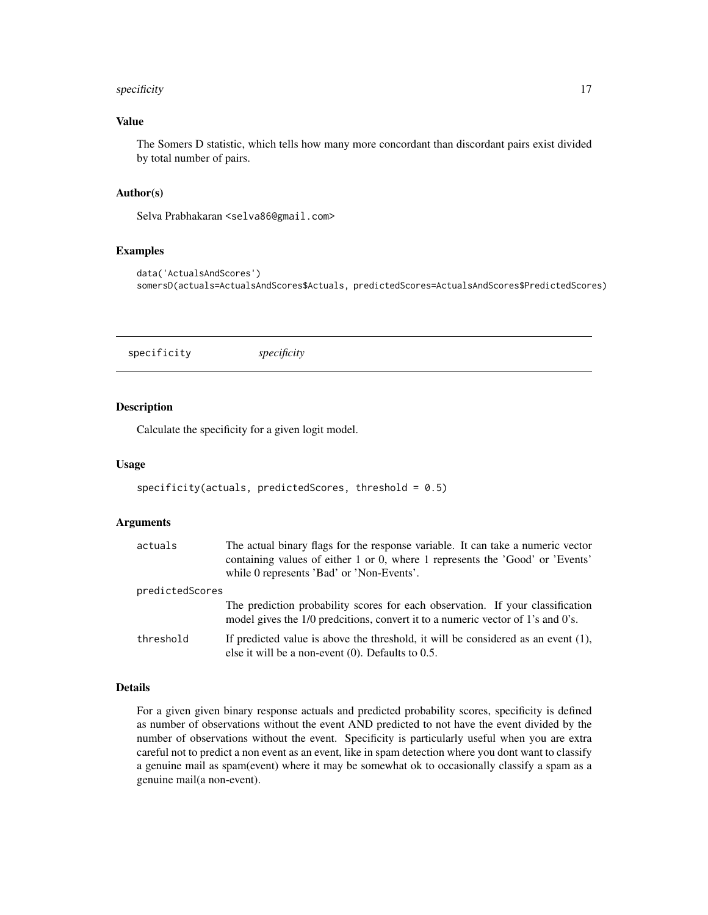# <span id="page-16-0"></span>specificity 17

# Value

The Somers D statistic, which tells how many more concordant than discordant pairs exist divided by total number of pairs.

# Author(s)

Selva Prabhakaran <selva86@gmail.com>

#### Examples

```
data('ActualsAndScores')
somersD(actuals=ActualsAndScores$Actuals, predictedScores=ActualsAndScores$PredictedScores)
```
specificity *specificity*

# Description

Calculate the specificity for a given logit model.

#### Usage

```
specificity(actuals, predictedScores, threshold = 0.5)
```
#### Arguments

| actuals         | The actual binary flags for the response variable. It can take a numeric vector<br>containing values of either 1 or 0, where 1 represents the 'Good' or 'Events'<br>while 0 represents 'Bad' or 'Non-Events'. |
|-----------------|---------------------------------------------------------------------------------------------------------------------------------------------------------------------------------------------------------------|
| predictedScores |                                                                                                                                                                                                               |
|                 | The prediction probability scores for each observation. If your classification<br>model gives the 1/0 predcitions, convert it to a numeric vector of 1's and 0's.                                             |
| threshold       | If predicted value is above the threshold, it will be considered as an event $(1)$ ,<br>else it will be a non-event $(0)$ . Defaults to 0.5.                                                                  |

# Details

For a given given binary response actuals and predicted probability scores, specificity is defined as number of observations without the event AND predicted to not have the event divided by the number of observations without the event. Specificity is particularly useful when you are extra careful not to predict a non event as an event, like in spam detection where you dont want to classify a genuine mail as spam(event) where it may be somewhat ok to occasionally classify a spam as a genuine mail(a non-event).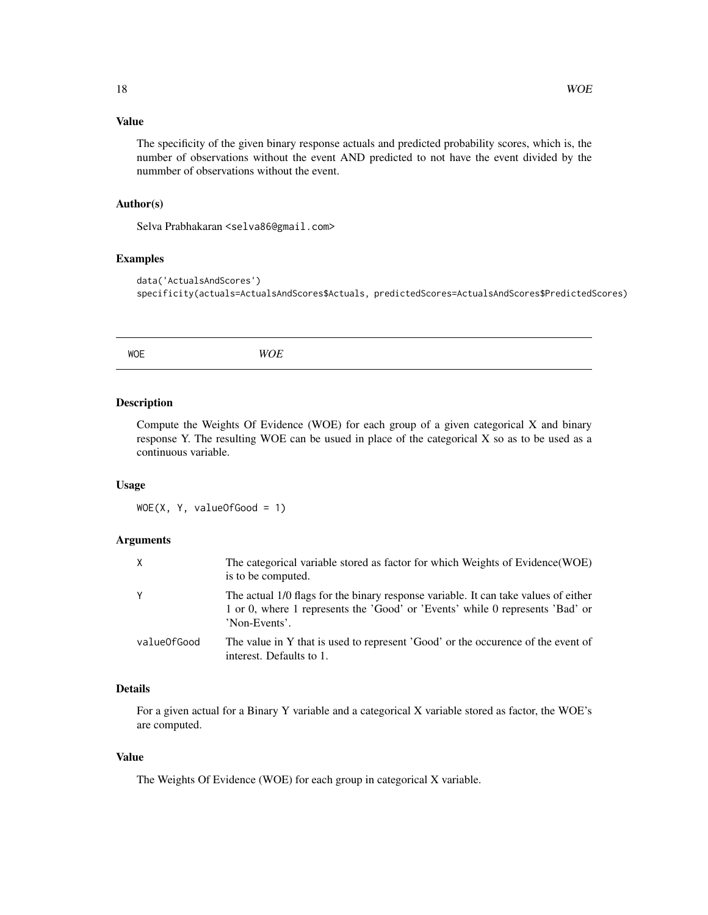# <span id="page-17-0"></span>Value

The specificity of the given binary response actuals and predicted probability scores, which is, the number of observations without the event AND predicted to not have the event divided by the nummber of observations without the event.

# Author(s)

Selva Prabhakaran <selva86@gmail.com>

#### Examples

```
data('ActualsAndScores')
specificity(actuals=ActualsAndScores$Actuals, predictedScores=ActualsAndScores$PredictedScores)
```
WOE *WOE*

#### Description

Compute the Weights Of Evidence (WOE) for each group of a given categorical X and binary response Y. The resulting WOE can be usued in place of the categorical X so as to be used as a continuous variable.

#### Usage

WOE(X, Y, valueOfGood = 1)

# Arguments

| X           | The categorical variable stored as factor for which Weights of Evidence(WOE)<br>is to be computed.                                                                                    |
|-------------|---------------------------------------------------------------------------------------------------------------------------------------------------------------------------------------|
| Y           | The actual 1/0 flags for the binary response variable. It can take values of either<br>1 or 0, where 1 represents the 'Good' or 'Events' while 0 represents 'Bad' or<br>'Non-Events'. |
| valueOfGood | The value in Y that is used to represent 'Good' or the occurence of the event of<br>interest. Defaults to 1.                                                                          |

# Details

For a given actual for a Binary Y variable and a categorical X variable stored as factor, the WOE's are computed.

# Value

The Weights Of Evidence (WOE) for each group in categorical X variable.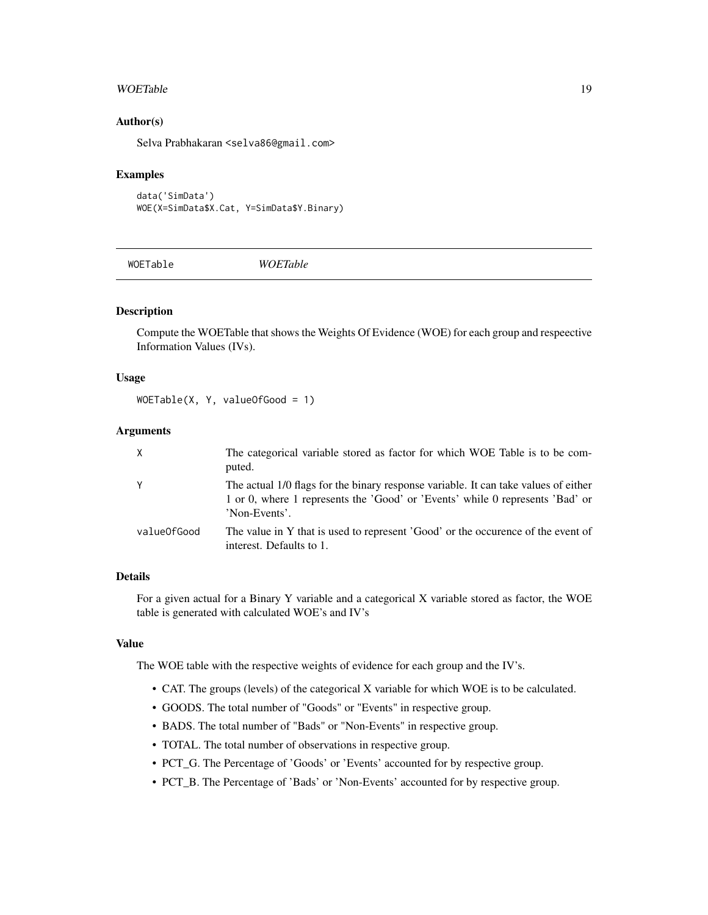#### <span id="page-18-0"></span>WOETable 19

# Author(s)

Selva Prabhakaran <selva86@gmail.com>

#### Examples

data('SimData') WOE(X=SimData\$X.Cat, Y=SimData\$Y.Binary)

WOETable *WOETable*

# **Description**

Compute the WOETable that shows the Weights Of Evidence (WOE) for each group and respeective Information Values (IVs).

#### Usage

WOETable(X, Y, valueOfGood = 1)

# Arguments

| X           | The categorical variable stored as factor for which WOE Table is to be com-<br>puted.                                                                                                 |
|-------------|---------------------------------------------------------------------------------------------------------------------------------------------------------------------------------------|
|             | The actual 1/0 flags for the binary response variable. It can take values of either<br>1 or 0, where 1 represents the 'Good' or 'Events' while 0 represents 'Bad' or<br>'Non-Events'. |
| valueOfGood | The value in Y that is used to represent 'Good' or the occurence of the event of<br>interest. Defaults to 1.                                                                          |

# Details

For a given actual for a Binary Y variable and a categorical X variable stored as factor, the WOE table is generated with calculated WOE's and IV's

# Value

The WOE table with the respective weights of evidence for each group and the IV's.

- CAT. The groups (levels) of the categorical X variable for which WOE is to be calculated.
- GOODS. The total number of "Goods" or "Events" in respective group.
- BADS. The total number of "Bads" or "Non-Events" in respective group.
- TOTAL. The total number of observations in respective group.
- PCT\_G. The Percentage of 'Goods' or 'Events' accounted for by respective group.
- PCT\_B. The Percentage of 'Bads' or 'Non-Events' accounted for by respective group.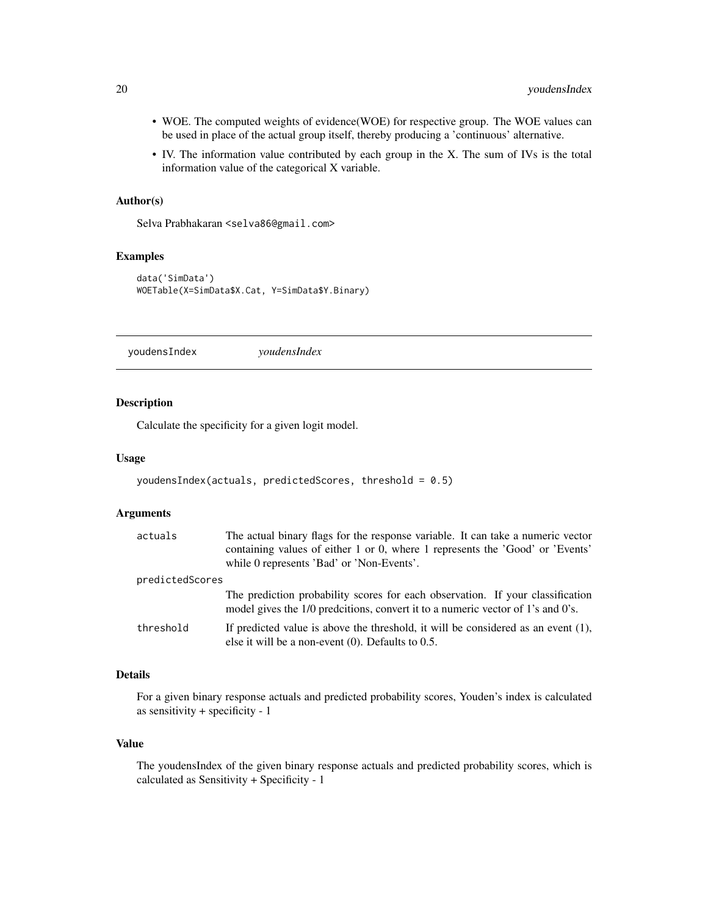- <span id="page-19-0"></span>• WOE. The computed weights of evidence(WOE) for respective group. The WOE values can be used in place of the actual group itself, thereby producing a 'continuous' alternative.
- IV. The information value contributed by each group in the X. The sum of IVs is the total information value of the categorical X variable.

#### Author(s)

Selva Prabhakaran <selva86@gmail.com>

# Examples

```
data('SimData')
WOETable(X=SimData$X.Cat, Y=SimData$Y.Binary)
```
youdensIndex *youdensIndex*

## Description

Calculate the specificity for a given logit model.

#### Usage

```
youdensIndex(actuals, predictedScores, threshold = 0.5)
```
# Arguments

| actuals         | The actual binary flags for the response variable. It can take a numeric vector<br>containing values of either 1 or 0, where 1 represents the 'Good' or 'Events'<br>while 0 represents 'Bad' or 'Non-Events'. |
|-----------------|---------------------------------------------------------------------------------------------------------------------------------------------------------------------------------------------------------------|
| predictedScores |                                                                                                                                                                                                               |
|                 | The prediction probability scores for each observation. If your classification<br>model gives the 1/0 predcitions, convert it to a numeric vector of 1's and 0's.                                             |
| threshold       | If predicted value is above the threshold, it will be considered as an event $(1)$ ,<br>else it will be a non-event $(0)$ . Defaults to 0.5.                                                                  |

# Details

For a given binary response actuals and predicted probability scores, Youden's index is calculated as sensitivity + specificity - 1

# Value

The youdensIndex of the given binary response actuals and predicted probability scores, which is calculated as Sensitivity + Specificity - 1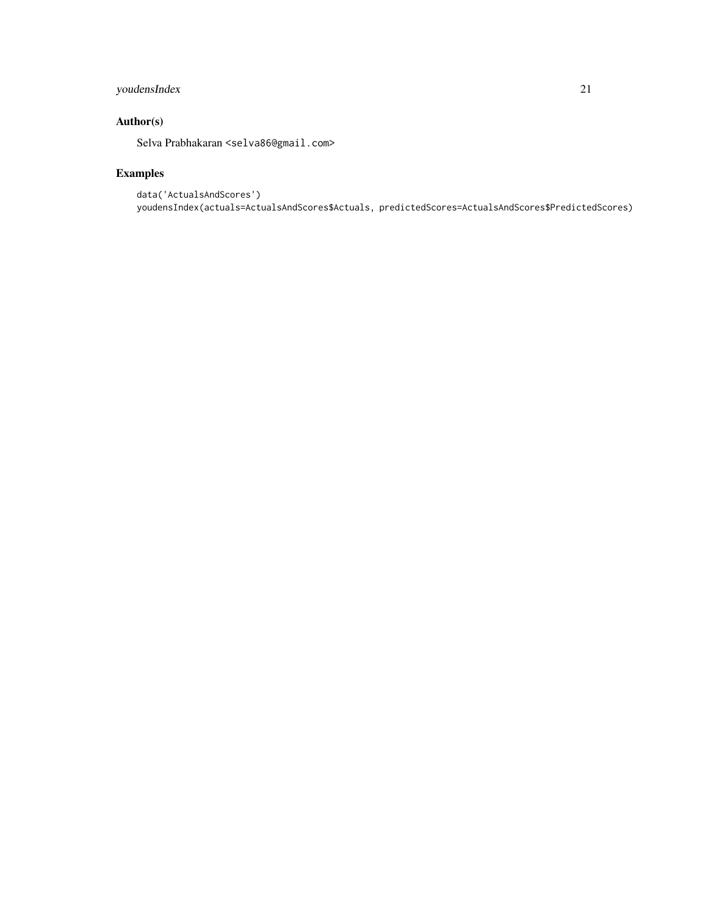# youdensIndex 21

# Author(s)

Selva Prabhakaran <selva86@gmail.com>

```
data('ActualsAndScores')
youdensIndex(actuals=ActualsAndScores$Actuals, predictedScores=ActualsAndScores$PredictedScores)
```